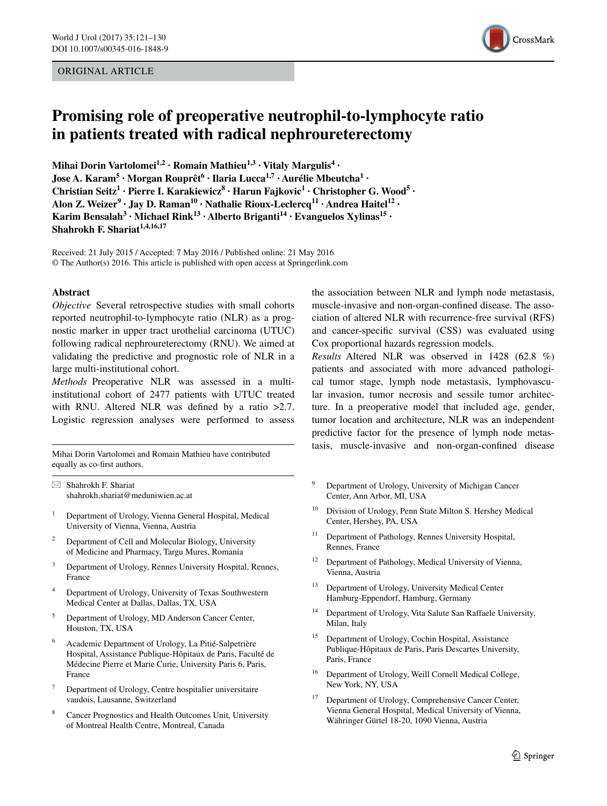#### ORIGINAL ARTICLE



# **Promising role of preoperative neutrophil‑to‑lymphocyte ratio in patients treated with radical nephroureterectomy**

**Mihai**  $\text{Dorin Vartolomei}^{1,2} \cdot \text{Roman Mathieu}^{1,3} \cdot \text{Vitaly Margulis}^{4} \cdot$ **Jose A. Karam<sup>5</sup> · Morgan Rouprêt6 · Ilaria Lucca1,7 · Aurélie Mbeutcha1 · Christian Seitz<sup>1</sup> · Pierre I. Karakiewicz8 · Harun Fajkovic1 · Christopher G. Wood5 · Alon Z. Weizer<sup>9</sup> · Jay D. Raman10 · Nathalie Rioux‑Leclercq11 · Andrea Haitel12 · Karim** Bensalah<sup>3</sup> **· Michael Rink**<sup>13</sup> **· Alberto Briganti**<sup>14</sup> **· Evanguelos Xylinas**<sup>15</sup> **· Shahrokh F. Shariat1,4,16,17**

Received: 21 July 2015 / Accepted: 7 May 2016 / Published online: 21 May 2016 © The Author(s) 2016. This article is published with open access at Springerlink.com

#### **Abstract**

*Objective* Several retrospective studies with small cohorts reported neutrophil-to-lymphocyte ratio (NLR) as a prognostic marker in upper tract urothelial carcinoma (UTUC) following radical nephroureterectomy (RNU). We aimed at validating the predictive and prognostic role of NLR in a large multi-institutional cohort.

*Methods* Preoperative NLR was assessed in a multiinstitutional cohort of 2477 patients with UTUC treated with RNU. Altered NLR was defined by a ratio >2.7. Logistic regression analyses were performed to assess

Mihai Dorin Vartolomei and Romain Mathieu have contributed equally as co-first authors.

 $\boxtimes$  Shahrokh F. Shariat shahrokh.shariat@meduniwien.ac.at

- <sup>1</sup> Department of Urology, Vienna General Hospital, Medical University of Vienna, Vienna, Austria
- <sup>2</sup> Department of Cell and Molecular Biology, University of Medicine and Pharmacy, Targu Mures, Romania
- <sup>3</sup> Department of Urology, Rennes University Hospital, Rennes, France
- <sup>4</sup> Department of Urology, University of Texas Southwestern Medical Center at Dallas, Dallas, TX, USA
- <sup>5</sup> Department of Urology, MD Anderson Cancer Center, Houston, TX, USA
- <sup>6</sup> Academic Department of Urology, La Pitié-Salpetrière Hospital, Assistance Publique-Hôpitaux de Paris, Faculté de Médecine Pierre et Marie Curie, University Paris 6, Paris, France
- <sup>7</sup> Department of Urology, Centre hospitalier universitaire vaudois, Lausanne, Switzerland
- Cancer Prognostics and Health Outcomes Unit, University of Montreal Health Centre, Montreal, Canada

the association between NLR and lymph node metastasis, muscle-invasive and non-organ-confined disease. The association of altered NLR with recurrence-free survival (RFS) and cancer-specific survival (CSS) was evaluated using Cox proportional hazards regression models.

*Results* Altered NLR was observed in 1428 (62.8 %) patients and associated with more advanced pathological tumor stage, lymph node metastasis, lymphovascular invasion, tumor necrosis and sessile tumor architecture. In a preoperative model that included age, gender, tumor location and architecture, NLR was an independent predictive factor for the presence of lymph node metastasis, muscle-invasive and non-organ-confined disease

- <sup>9</sup> Department of Urology, University of Michigan Cancer Center, Ann Arbor, MI, USA
- <sup>10</sup> Division of Urology, Penn State Milton S. Hershey Medical Center, Hershey, PA, USA
- <sup>11</sup> Department of Pathology, Rennes University Hospital, Rennes, France
- <sup>12</sup> Department of Pathology, Medical University of Vienna, Vienna, Austria
- <sup>13</sup> Department of Urology, University Medical Center Hamburg-Eppendorf, Hamburg, Germany
- <sup>14</sup> Department of Urology, Vita Salute San Raffaele University, Milan, Italy
- Department of Urology, Cochin Hospital, Assistance Publique-Hôpitaux de Paris, Paris Descartes University, Paris, France
- <sup>16</sup> Department of Urology, Weill Cornell Medical College, New York, NY, USA
- Department of Urology, Comprehensive Cancer Center, Vienna General Hospital, Medical University of Vienna, Währinger Gürtel 18-20, 1090 Vienna, Austria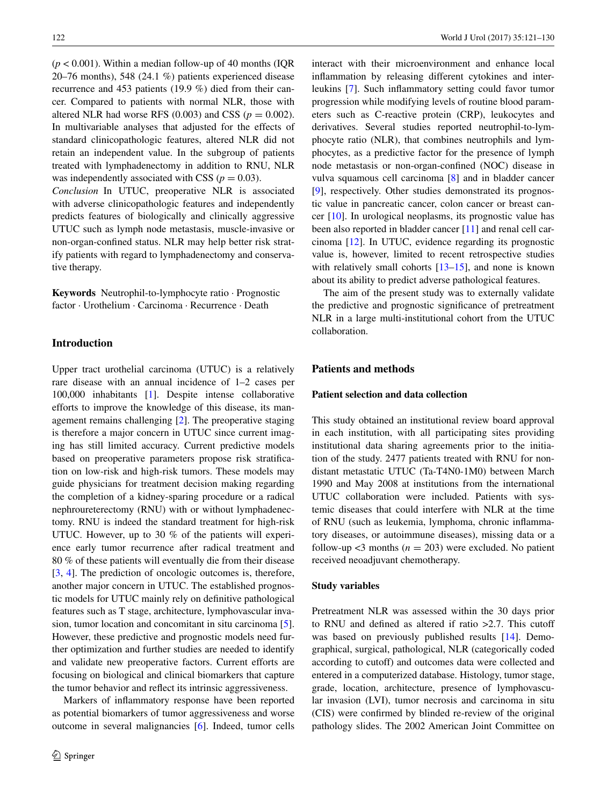$(p < 0.001)$ . Within a median follow-up of 40 months (IOR) 20–76 months), 548 (24.1 %) patients experienced disease recurrence and 453 patients (19.9 %) died from their cancer. Compared to patients with normal NLR, those with altered NLR had worse RFS  $(0.003)$  and CSS  $(p = 0.002)$ . In multivariable analyses that adjusted for the effects of standard clinicopathologic features, altered NLR did not retain an independent value. In the subgroup of patients treated with lymphadenectomy in addition to RNU, NLR was independently associated with CSS ( $p = 0.03$ ).

*Conclusion* In UTUC, preoperative NLR is associated with adverse clinicopathologic features and independently predicts features of biologically and clinically aggressive UTUC such as lymph node metastasis, muscle-invasive or non-organ-confined status. NLR may help better risk stratify patients with regard to lymphadenectomy and conservative therapy.

**Keywords** Neutrophil-to-lymphocyte ratio · Prognostic factor · Urothelium · Carcinoma · Recurrence · Death

#### **Introduction**

Upper tract urothelial carcinoma (UTUC) is a relatively rare disease with an annual incidence of 1–2 cases per 100,000 inhabitants [\[1](#page-8-0)]. Despite intense collaborative efforts to improve the knowledge of this disease, its management remains challenging [[2\]](#page-8-1). The preoperative staging is therefore a major concern in UTUC since current imaging has still limited accuracy. Current predictive models based on preoperative parameters propose risk stratification on low-risk and high-risk tumors. These models may guide physicians for treatment decision making regarding the completion of a kidney-sparing procedure or a radical nephroureterectomy (RNU) with or without lymphadenectomy. RNU is indeed the standard treatment for high-risk UTUC. However, up to 30 % of the patients will experience early tumor recurrence after radical treatment and 80 % of these patients will eventually die from their disease [\[3](#page-8-2), [4](#page-8-3)]. The prediction of oncologic outcomes is, therefore, another major concern in UTUC. The established prognostic models for UTUC mainly rely on definitive pathological features such as T stage, architecture, lymphovascular invasion, tumor location and concomitant in situ carcinoma [\[5](#page-8-4)]. However, these predictive and prognostic models need further optimization and further studies are needed to identify and validate new preoperative factors. Current efforts are focusing on biological and clinical biomarkers that capture the tumor behavior and reflect its intrinsic aggressiveness.

Markers of inflammatory response have been reported as potential biomarkers of tumor aggressiveness and worse outcome in several malignancies [[6\]](#page-8-5). Indeed, tumor cells interact with their microenvironment and enhance local inflammation by releasing different cytokines and interleukins [\[7](#page-8-6)]. Such inflammatory setting could favor tumor progression while modifying levels of routine blood parameters such as C-reactive protein (CRP), leukocytes and derivatives. Several studies reported neutrophil-to-lymphocyte ratio (NLR), that combines neutrophils and lymphocytes, as a predictive factor for the presence of lymph node metastasis or non-organ-confined (NOC) disease in vulva squamous cell carcinoma [[8\]](#page-8-7) and in bladder cancer [\[9](#page-8-8)], respectively. Other studies demonstrated its prognostic value in pancreatic cancer, colon cancer or breast cancer [\[10](#page-8-9)]. In urological neoplasms, its prognostic value has been also reported in bladder cancer [[11\]](#page-8-10) and renal cell carcinoma [[12\]](#page-8-11). In UTUC, evidence regarding its prognostic value is, however, limited to recent retrospective studies with relatively small cohorts  $[13–15]$  $[13–15]$  $[13–15]$ , and none is known about its ability to predict adverse pathological features.

The aim of the present study was to externally validate the predictive and prognostic significance of pretreatment NLR in a large multi-institutional cohort from the UTUC collaboration.

## **Patients and methods**

#### **Patient selection and data collection**

This study obtained an institutional review board approval in each institution, with all participating sites providing institutional data sharing agreements prior to the initiation of the study. 2477 patients treated with RNU for nondistant metastatic UTUC (Ta-T4N0-1M0) between March 1990 and May 2008 at institutions from the international UTUC collaboration were included. Patients with systemic diseases that could interfere with NLR at the time of RNU (such as leukemia, lymphoma, chronic inflammatory diseases, or autoimmune diseases), missing data or a follow-up  $\leq$ 3 months ( $n = 203$ ) were excluded. No patient received neoadjuvant chemotherapy.

#### **Study variables**

Pretreatment NLR was assessed within the 30 days prior to RNU and defined as altered if ratio >2.7. This cutoff was based on previously published results [[14\]](#page-8-14). Demographical, surgical, pathological, NLR (categorically coded according to cutoff) and outcomes data were collected and entered in a computerized database. Histology, tumor stage, grade, location, architecture, presence of lymphovascular invasion (LVI), tumor necrosis and carcinoma in situ (CIS) were confirmed by blinded re-review of the original pathology slides. The 2002 American Joint Committee on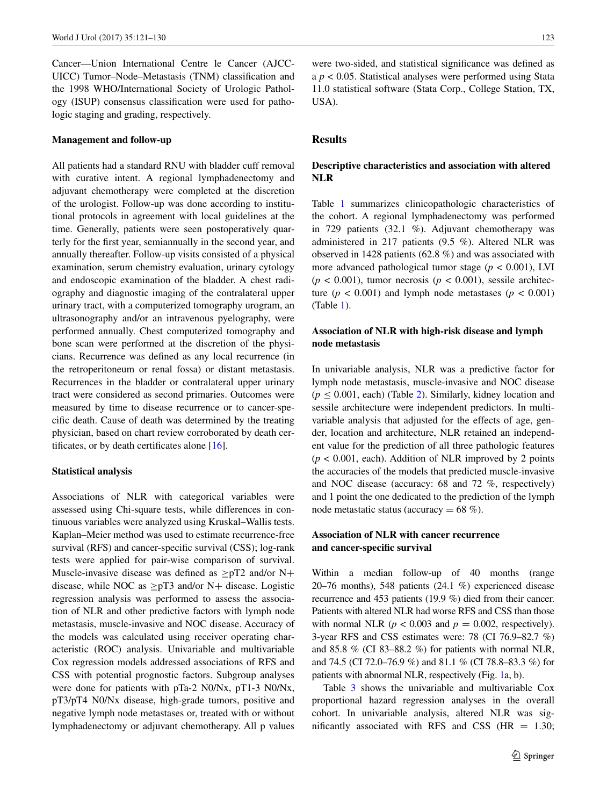Cancer—Union International Centre le Cancer (AJCC-UICC) Tumor–Node–Metastasis (TNM) classification and the 1998 WHO/International Society of Urologic Pathology (ISUP) consensus classification were used for pathologic staging and grading, respectively.

#### **Management and follow‑up**

All patients had a standard RNU with bladder cuff removal with curative intent. A regional lymphadenectomy and adjuvant chemotherapy were completed at the discretion of the urologist. Follow-up was done according to institutional protocols in agreement with local guidelines at the time. Generally, patients were seen postoperatively quarterly for the first year, semiannually in the second year, and annually thereafter. Follow-up visits consisted of a physical examination, serum chemistry evaluation, urinary cytology and endoscopic examination of the bladder. A chest radiography and diagnostic imaging of the contralateral upper urinary tract, with a computerized tomography urogram, an ultrasonography and/or an intravenous pyelography, were performed annually. Chest computerized tomography and bone scan were performed at the discretion of the physicians. Recurrence was defined as any local recurrence (in the retroperitoneum or renal fossa) or distant metastasis. Recurrences in the bladder or contralateral upper urinary tract were considered as second primaries. Outcomes were measured by time to disease recurrence or to cancer-specific death. Cause of death was determined by the treating physician, based on chart review corroborated by death certificates, or by death certificates alone [[16\]](#page-8-15).

#### **Statistical analysis**

Associations of NLR with categorical variables were assessed using Chi-square tests, while differences in continuous variables were analyzed using Kruskal–Wallis tests. Kaplan–Meier method was used to estimate recurrence-free survival (RFS) and cancer-specific survival (CSS); log-rank tests were applied for pair-wise comparison of survival. Muscle-invasive disease was defined as  $\geq pT2$  and/or N+ disease, while NOC as  $\geq pT3$  and/or N+ disease. Logistic regression analysis was performed to assess the association of NLR and other predictive factors with lymph node metastasis, muscle-invasive and NOC disease. Accuracy of the models was calculated using receiver operating characteristic (ROC) analysis. Univariable and multivariable Cox regression models addressed associations of RFS and CSS with potential prognostic factors. Subgroup analyses were done for patients with pTa-2 N0/Nx, pT1-3 N0/Nx, pT3/pT4 N0/Nx disease, high-grade tumors, positive and negative lymph node metastases or, treated with or without lymphadenectomy or adjuvant chemotherapy. All p values were two-sided, and statistical significance was defined as a *p* < 0.05. Statistical analyses were performed using Stata 11.0 statistical software (Stata Corp., College Station, TX, USA).

## **Results**

## **Descriptive characteristics and association with altered NLR**

Table [1](#page-3-0) summarizes clinicopathologic characteristics of the cohort. A regional lymphadenectomy was performed in 729 patients (32.1 %). Adjuvant chemotherapy was administered in 217 patients (9.5 %). Altered NLR was observed in 1428 patients (62.8 %) and was associated with more advanced pathological tumor stage (*p* < 0.001), LVI  $(p < 0.001)$ , tumor necrosis  $(p < 0.001)$ , sessile architecture  $(p < 0.001)$  and lymph node metastases  $(p < 0.001)$ (Table [1\)](#page-3-0).

#### **Association of NLR with high‑risk disease and lymph node metastasis**

In univariable analysis, NLR was a predictive factor for lymph node metastasis, muscle-invasive and NOC disease  $(p \le 0.001$ , each) (Table [2\)](#page-4-0). Similarly, kidney location and sessile architecture were independent predictors. In multivariable analysis that adjusted for the effects of age, gender, location and architecture, NLR retained an independent value for the prediction of all three pathologic features  $(p < 0.001$ , each). Addition of NLR improved by 2 points the accuracies of the models that predicted muscle-invasive and NOC disease (accuracy: 68 and 72 %, respectively) and 1 point the one dedicated to the prediction of the lymph node metastatic status (accuracy  $= 68\%$ ).

# **Association of NLR with cancer recurrence and cancer‑specific survival**

Within a median follow-up of 40 months (range 20–76 months), 548 patients (24.1 %) experienced disease recurrence and 453 patients (19.9 %) died from their cancer. Patients with altered NLR had worse RFS and CSS than those with normal NLR ( $p < 0.003$  and  $p = 0.002$ , respectively). 3-year RFS and CSS estimates were: 78 (CI 76.9–82.7 %) and 85.8 % (CI 83–88.2 %) for patients with normal NLR, and 74.5 (CI 72.0–76.9 %) and 81.1 % (CI 78.8–83.3 %) for patients with abnormal NLR, respectively (Fig. [1](#page-5-0)a, b).

Table [3](#page-6-0) shows the univariable and multivariable Cox proportional hazard regression analyses in the overall cohort. In univariable analysis, altered NLR was significantly associated with RFS and CSS ( $HR = 1.30$ ;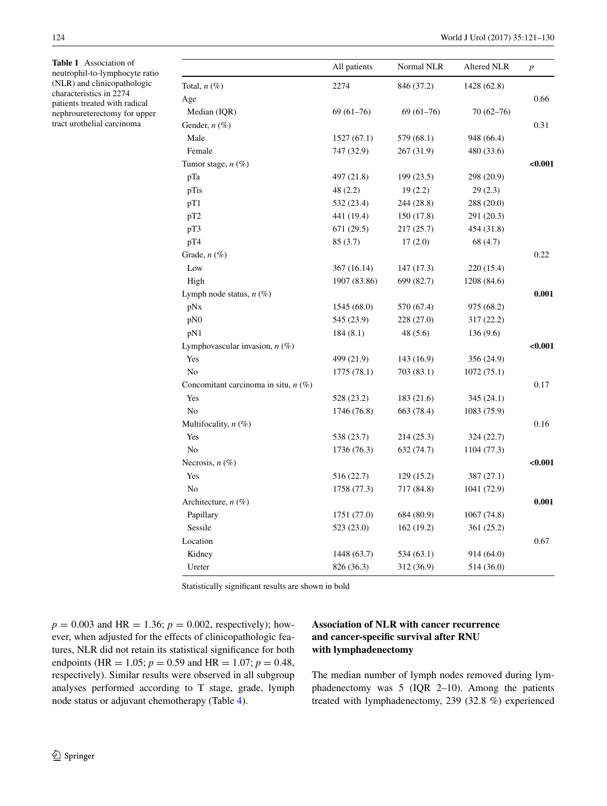<span id="page-3-0"></span>**Table 1** Association of neutrophil-to-lymphocyte ratio (NLR) and clinicopathologic characteristics in 2274 patients treated with radical nephroureterectomy for upper tract urothelial carcinoma

l.

|                                        | All patients | Normal NLR  | Altered NLR   | $\boldsymbol{p}$ |
|----------------------------------------|--------------|-------------|---------------|------------------|
| Total, $n(\%)$                         | 2274         | 846 (37.2)  | 1428 (62.8)   |                  |
| Age                                    |              |             |               | 0.66             |
| Median (IQR)                           | $69(61-76)$  | $69(61-76)$ | $70(62 - 76)$ |                  |
| Gender, $n \ (\%)$                     |              |             |               | 0.31             |
| Male                                   | 1527(67.1)   | 579 (68.1)  | 948 (66.4)    |                  |
| Female                                 | 747 (32.9)   | 267 (31.9)  | 480 (33.6)    |                  |
| Tumor stage, $n(\%)$                   |              |             |               | $0.001$          |
| pTa                                    | 497 (21.8)   | 199 (23.5)  | 298 (20.9)    |                  |
| pTis                                   | 48(2.2)      | 19(2.2)     | 29(2.3)       |                  |
| pT1                                    | 532 (23.4)   | 244 (28.8)  | 288 (20.0)    |                  |
| pT2                                    | 441 (19.4)   | 150 (17.8)  | 291 (20.3)    |                  |
| pT3                                    | 671(29.5)    | 217 (25.7)  | 454 (31.8)    |                  |
| pT4                                    | 85 (3.7)     | 17(2.0)     | 68 (4.7)      |                  |
| Grade, $n(\%)$                         |              |             |               | 0.22             |
| Low                                    | 367 (16.14)  | 147(17.3)   | 220 (15.4)    |                  |
| High                                   | 1907 (83.86) | 699 (82.7)  | 1208 (84.6)   |                  |
| Lymph node status, $n$ (%)             |              |             |               | 0.001            |
| pNx                                    | 1545 (68.0)  | 570 (67.4)  | 975 (68.2)    |                  |
| pN0                                    | 545 (23.9)   | 228 (27.0)  | 317 (22.2)    |                  |
| pN1                                    | 184(8.1)     | 48(5.6)     | 136(9.6)      |                  |
| Lymphovascular invasion, $n$ (%)       |              |             |               | < 0.001          |
| Yes                                    | 499 (21.9)   | 143 (16.9)  | 356 (24.9)    |                  |
| No                                     | 1775 (78.1)  | 703 (83.1)  | 1072 (75.1)   |                  |
| Concomitant carcinoma in situ, $n$ (%) |              |             |               | 0.17             |
| Yes                                    | 528 (23.2)   | 183 (21.6)  | 345 (24.1)    |                  |
| No                                     | 1746 (76.8)  | 663 (78.4)  | 1083 (75.9)   |                  |
| Multifocality, $n$ (%)                 |              |             |               | 0.16             |
| Yes                                    | 538 (23.7)   | 214 (25.3)  | 324 (22.7)    |                  |
| No                                     | 1736 (76.3)  | 632 (74.7)  | 1104 (77.3)   |                  |
| Necrosis, $n$ (%)                      |              |             |               | < 0.001          |
| Yes                                    | 516 (22.7)   | 129(15.2)   | 387 (27.1)    |                  |
| No                                     | 1758 (77.3)  | 717 (84.8)  | 1041 (72.9)   |                  |
| Architecture, $n$ (%)                  |              |             |               | 0.001            |
| Papillary                              | 1751 (77.0)  | 684 (80.9)  | 1067 (74.8)   |                  |
| Sessile                                | 523 (23.0)   | 162 (19.2)  | 361 (25.2)    |                  |
| Location                               |              |             |               | 0.67             |
| Kidney                                 | 1448 (63.7)  | 534 (63.1)  | 914 (64.0)    |                  |
| Ureter                                 | 826 (36.3)   | 312 (36.9)  | 514 (36.0)    |                  |

Statistically significant results are shown in bold

 $p = 0.003$  and HR = 1.36;  $p = 0.002$ , respectively); however, when adjusted for the effects of clinicopathologic features, NLR did not retain its statistical significance for both endpoints (HR = 1.05;  $p = 0.59$  and HR = 1.07;  $p = 0.48$ , respectively). Similar results were observed in all subgroup analyses performed according to T stage, grade, lymph node status or adjuvant chemotherapy (Table [4\)](#page-6-1).

# **Association of NLR with cancer recurrence and cancer‑specific survival after RNU with lymphadenectomy**

The median number of lymph nodes removed during lymphadenectomy was 5 (IQR 2–10). Among the patients treated with lymphadenectomy, 239 (32.8 %) experienced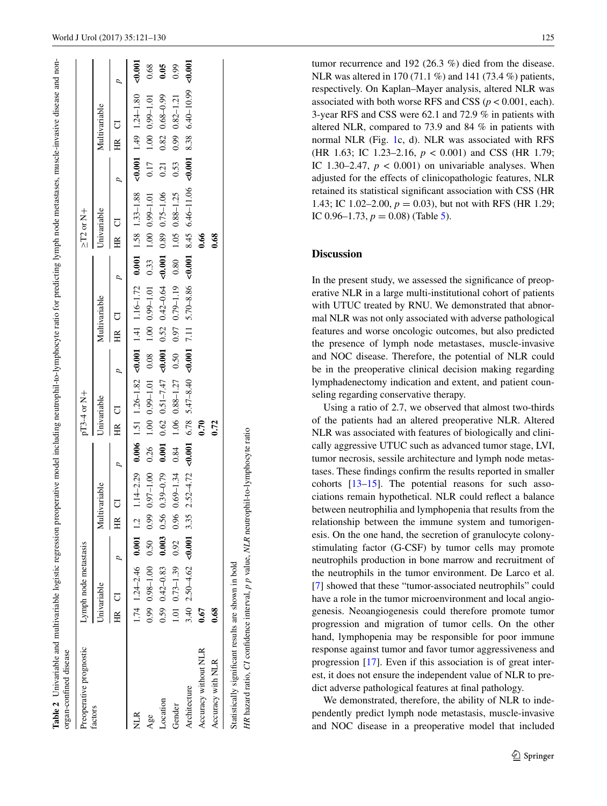| Preoperative prognostic |             | Lymph node metastasis              |                |        |               |       | $pT3-4$ or $N+$                                                                                   |       |               |       | $\geq$ T2 or N+ |      |                                                                                                                          |      |
|-------------------------|-------------|------------------------------------|----------------|--------|---------------|-------|---------------------------------------------------------------------------------------------------|-------|---------------|-------|-----------------|------|--------------------------------------------------------------------------------------------------------------------------|------|
| factors                 | Univariable |                                    |                |        | Multivariable |       | Univariable                                                                                       |       | Multivariable |       | Univariable     |      | Multivariable                                                                                                            |      |
|                         | HR CI       |                                    |                | ·<br>田 |               | HR CI |                                                                                                   | HR CI |               | HR CI |                 |      | HR CI                                                                                                                    |      |
| NLR                     |             | $1.74$ $1.24 - 2.46$ 0.001 1.2     |                |        |               |       |                                                                                                   |       |               |       |                 |      |                                                                                                                          |      |
| Age                     |             | 0.99 0.98-1.00                     | 0.50 0.99      |        |               |       | 0.97-1.00 0.26 1.00 0.99-1.01 0.08 1.00 0.99-1.01 0.33 1.00 0.99-1.01                             |       |               |       |                 |      | $0.17$ 1.00 0.99-1.01                                                                                                    | 0.68 |
| Location                |             | $0.59$ $0.42 - 0.83$               | $0.003$ 0.56   |        | $0.39 - 0.79$ |       | 0.001 0.62 0.51-7.47 <0.001 0.52 0.42-0.64 <0.001 0.89 0.75-1.06                                  |       |               |       |                 | 0.21 | $0.82$ $0.68 - 0.99$                                                                                                     | 0.05 |
| Gender                  |             | $1.01$ $0.73 - 1.39$ $0.92$ $0.96$ |                |        |               |       | $0.69 - 1.34$ $0.84$ $1.06$ $0.88 - 1.27$ $0.50$ $0.97$ $0.79 - 1.19$ $0.80$ $1.05$ $0.88 - 1.25$ |       |               |       |                 | 0.53 | $0.99$ $0.82 - 1.21$                                                                                                     | 0.99 |
| Architecture            |             | 3.40 2.50 - 4.62                   | $< 0.001$ 3.35 |        |               |       |                                                                                                   |       |               |       |                 |      | $2.52-4.72$ $-0.001$ 6.78 $5.47-8.40$ $-0.001$ 7.11 5.70-8.86 $-0.001$ 8.45 6.46-11.06 $-0.001$ 8.38 6.46-10.09 $-0.001$ |      |
| Accuracy without NLR    | 0.67        |                                    |                |        |               | 0.70  |                                                                                                   |       |               | 0.66  |                 |      |                                                                                                                          |      |
| Accuracy with NLR       | 0.68        |                                    |                |        |               | 0.72  |                                                                                                   |       |               | 0.68  |                 |      |                                                                                                                          |      |

<span id="page-4-0"></span>**Table 2**

Univariable and multivariable logistic regression preoperative model including neutrophil-to-lymphocyte ratio for predicting lymph node metastases, muscle-invasive disease and non-

HR hazard ratio, CI confidence interval, p p value, NLR neutrophil-to-lymphocyte ratio *HR* hazard ratio, *CI* confidence interval, *p p* value, *NLR* neutrophil-to-lymphocyte ratio

tumor recurrence and 192 (26.3 %) died from the disease. NLR was altered in 170 (71.1 %) and 141 (73.4 %) patients, respectively. On Kaplan–Mayer analysis, altered NLR was associated with both worse RFS and CSS ( $p < 0.001$ , each). 3-year RFS and CSS were 62.1 and 72.9 % in patients with altered NLR, compared to 73.9 and 84 % in patients with normal NLR (Fig. [1c](#page-5-0), d). NLR was associated with RFS (HR 1.63; IC 1.23–2.16, *p* < 0.001) and CSS (HR 1.79; IC 1.30–2.47,  $p < 0.001$ ) on univariable analyses. When adjusted for the effects of clinicopathologic features, NLR retained its statistical significant association with CSS (HR 1.43; IC 1.02–2.00, *p* = 0.03), but not with RFS (HR 1.29; IC  $0.96-1.73$ ,  $p = 0.08$ ) (Table [5\)](#page-7-0).

# **Discussion**

In the present study, we assessed the significance of preoperative NLR in a large multi-institutional cohort of patients with UTUC treated by RNU. We demonstrated that abnormal NLR was not only associated with adverse pathological features and worse oncologic outcomes, but also predicted the presence of lymph node metastases, muscle-invasive and NOC disease. Therefore, the potential of NLR could be in the preoperative clinical decision making regarding lymphadenectomy indication and extent, and patient coun seling regarding conservative therapy.

Using a ratio of 2.7, we observed that almost two-thirds of the patients had an altered preoperative NLR. Altered NLR was associated with features of biologically and clinically aggressive UTUC such as advanced tumor stage, LVI, tumor necrosis, sessile architecture and lymph node metas tases. These findings confirm the results reported in smaller cohorts [\[13](#page-8-12)-15]. The potential reasons for such associations remain hypothetical. NLR could reflect a balance between neutrophilia and lymphopenia that results from the relationship between the immune system and tumorigen esis. On the one hand, the secretion of granulocyte colonystimulating factor (G-CSF) by tumor cells may promote neutrophils production in bone marrow and recruitment of the neutrophils in the tumor environment. De Larco et al. [\[7](#page-8-6)] showed that these "tumor-associated neutrophils" could have a role in the tumor microenvironment and local angiogenesis. Neoangiogenesis could therefore promote tumor progression and migration of tumor cells. On the other hand, lymphopenia may be responsible for poor immune response against tumor and favor tumor aggressiveness and progression [[17\]](#page-8-16). Even if this association is of great inter est, it does not ensure the independent value of NLR to predict adverse pathological features at final pathology.

We demonstrated, therefore, the ability of NLR to independently predict lymph node metastasis, muscle-invasive and NOC disease in a preoperative model that included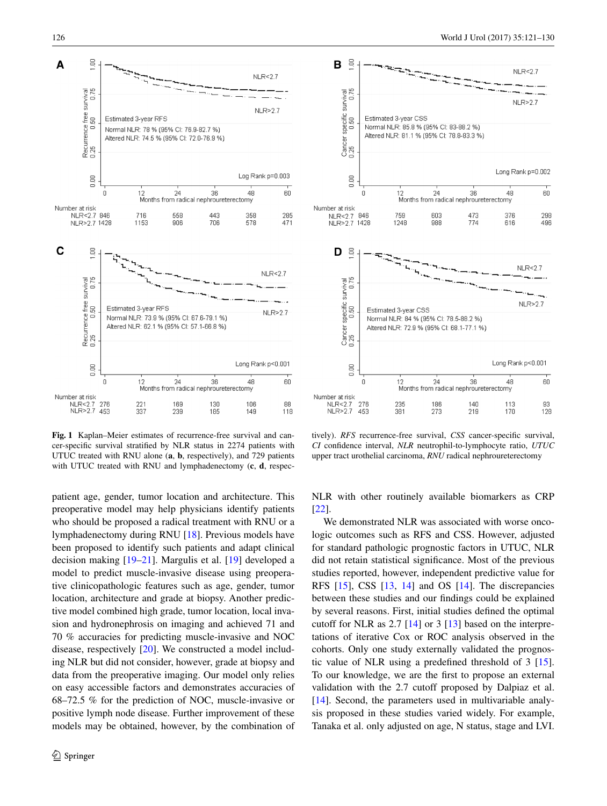

<span id="page-5-0"></span>**Fig. 1** Kaplan–Meier estimates of recurrence-free survival and cancer-specific survival stratified by NLR status in 2274 patients with UTUC treated with RNU alone (**a**, **b**, respectively), and 729 patients with UTUC treated with RNU and lymphadenectomy (**c**, **d**, respec-

patient age, gender, tumor location and architecture. This preoperative model may help physicians identify patients who should be proposed a radical treatment with RNU or a lymphadenectomy during RNU [\[18](#page-8-17)]. Previous models have been proposed to identify such patients and adapt clinical decision making [\[19](#page-9-0)[–21](#page-9-1)]. Margulis et al. [\[19](#page-9-0)] developed a model to predict muscle-invasive disease using preoperative clinicopathologic features such as age, gender, tumor location, architecture and grade at biopsy. Another predictive model combined high grade, tumor location, local invasion and hydronephrosis on imaging and achieved 71 and 70 % accuracies for predicting muscle-invasive and NOC disease, respectively [\[20](#page-9-2)]. We constructed a model including NLR but did not consider, however, grade at biopsy and data from the preoperative imaging. Our model only relies on easy accessible factors and demonstrates accuracies of 68–72.5 % for the prediction of NOC, muscle-invasive or positive lymph node disease. Further improvement of these models may be obtained, however, by the combination of



tively). *RFS* recurrence-free survival, *CSS* cancer-specific survival, *CI* confidence interval, *NLR* neutrophil-to-lymphocyte ratio, *UTUC* upper tract urothelial carcinoma, *RNU* radical nephroureterectomy

NLR with other routinely available biomarkers as CRP [\[22](#page-9-3)].

We demonstrated NLR was associated with worse oncologic outcomes such as RFS and CSS. However, adjusted for standard pathologic prognostic factors in UTUC, NLR did not retain statistical significance. Most of the previous studies reported, however, independent predictive value for RFS [[15\]](#page-8-13), CSS [\[13](#page-8-12), [14\]](#page-8-14) and OS [[14\]](#page-8-14). The discrepancies between these studies and our findings could be explained by several reasons. First, initial studies defined the optimal cutoff for NLR as 2.7 [[14\]](#page-8-14) or 3 [[13\]](#page-8-12) based on the interpretations of iterative Cox or ROC analysis observed in the cohorts. Only one study externally validated the prognostic value of NLR using a predefined threshold of 3 [\[15](#page-8-13)]. To our knowledge, we are the first to propose an external validation with the 2.7 cutoff proposed by Dalpiaz et al. [\[14](#page-8-14)]. Second, the parameters used in multivariable analysis proposed in these studies varied widely. For example, Tanaka et al. only adjusted on age, N status, stage and LVI.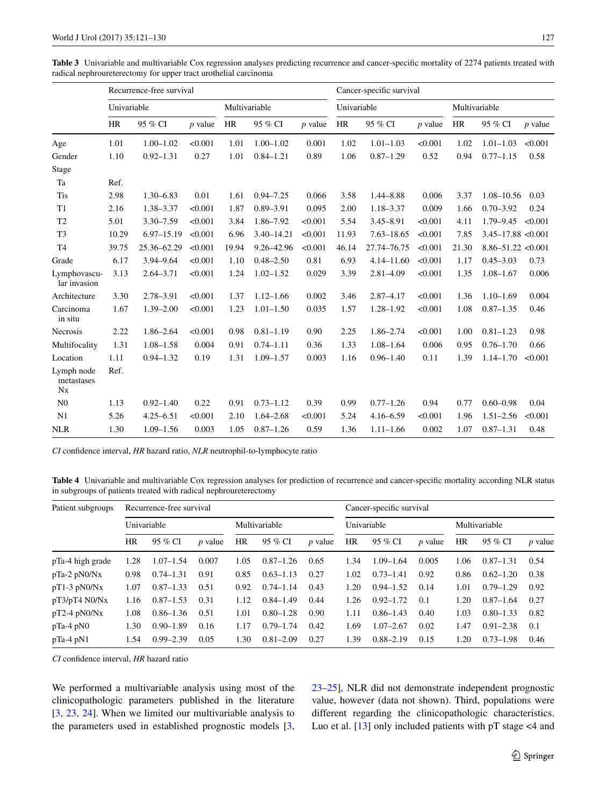<span id="page-6-0"></span>**Table 3** Univariable and multivariable Cox regression analyses predicting recurrence and cancer-specific mortality of 2274 patients treated with radical nephroureterectomy for upper tract urothelial carcinoma

|                                     |             | Recurrence-free survival |           |               |                | Cancer-specific survival |             |                |           |               |                        |           |
|-------------------------------------|-------------|--------------------------|-----------|---------------|----------------|--------------------------|-------------|----------------|-----------|---------------|------------------------|-----------|
|                                     | Univariable |                          |           | Multivariable |                |                          | Univariable |                |           | Multivariable |                        |           |
|                                     | <b>HR</b>   | 95 % CI                  | $p$ value | <b>HR</b>     | 95 % CI        | $p$ value                | <b>HR</b>   | 95 % CI        | $p$ value | <b>HR</b>     | 95 % CI                | $p$ value |
| Age                                 | 1.01        | $1.00 - 1.02$            | < 0.001   | 1.01          | $1.00 - 1.02$  | 0.001                    | 1.02        | $1.01 - 1.03$  | < 0.001   | 1.02          | $1.01 - 1.03$          | < 0.001   |
| Gender                              | 1.10        | $0.92 - 1.31$            | 0.27      | 1.01          | $0.84 - 1.21$  | 0.89                     | 1.06        | $0.87 - 1.29$  | 0.52      | 0.94          | $0.77 - 1.15$          | 0.58      |
| Stage                               |             |                          |           |               |                |                          |             |                |           |               |                        |           |
| Ta                                  | Ref.        |                          |           |               |                |                          |             |                |           |               |                        |           |
| <b>Tis</b>                          | 2.98        | $1.30 - 6.83$            | 0.01      | 1.61          | $0.94 - 7.25$  | 0.066                    | 3.58        | $1.44 - 8.88$  | 0.006     | 3.37          | $1.08 - 10.56$         | 0.03      |
| T1                                  | 2.16        | 1.38-3.37                | < 0.001   | 1.87          | $0.89 - 3.91$  | 0.095                    | 2.00        | $1.18 - 3.37$  | 0.009     | 1.66          | $0.70 - 3.92$          | 0.24      |
| T <sub>2</sub>                      | 5.01        | $3.30 - 7.59$            | < 0.001   | 3.84          | 1.86-7.92      | < 0.001                  | 5.54        | $3.45 - 8.91$  | < 0.001   | 4.11          | $1.79 - 9.45$          | < 0.001   |
| T <sub>3</sub>                      | 10.29       | 6.97-15.19               | < 0.001   | 6.96          | $3.40 - 14.21$ | < 0.001                  | 11.93       | $7.63 - 18.65$ | < 0.001   | 7.85          | $3.45 - 17.88 < 0.001$ |           |
| T <sub>4</sub>                      | 39.75       | 25.36-62.29              | < 0.001   | 19.94         | 9.26-42.96     | < 0.001                  | 46.14       | 27.74-76.75    | < 0.001   | 21.30         | $8.86 - 51.22 < 0.001$ |           |
| Grade                               | 6.17        | 3.94-9.64                | < 0.001   | 1.10          | $0.48 - 2.50$  | 0.81                     | 6.93        | $4.14 - 11.60$ | < 0.001   | 1.17          | $0.45 - 3.03$          | 0.73      |
| Lymphovascu-<br>lar invasion        | 3.13        | $2.64 - 3.71$            | < 0.001   | 1.24          | $1.02 - 1.52$  | 0.029                    | 3.39        | $2.81 - 4.09$  | < 0.001   | 1.35          | $1.08 - 1.67$          | 0.006     |
| Architecture                        | 3.30        | 2.78-3.91                | < 0.001   | 1.37          | $1.12 - 1.66$  | 0.002                    | 3.46        | $2.87 - 4.17$  | < 0.001   | 1.36          | $1.10 - 1.69$          | 0.004     |
| Carcinoma<br>in situ                | 1.67        | $1.39 - 2.00$            | < 0.001   | 1.23          | $1.01 - 1.50$  | 0.035                    | 1.57        | $1.28 - 1.92$  | < 0.001   | 1.08          | $0.87 - 1.35$          | 0.46      |
| Necrosis                            | 2.22        | $1.86 - 2.64$            | < 0.001   | 0.98          | $0.81 - 1.19$  | 0.90                     | 2.25        | $1.86 - 2.74$  | < 0.001   | 1.00          | $0.81 - 1.23$          | 0.98      |
| Multifocality                       | 1.31        | $1.08 - 1.58$            | 0.004     | 0.91          | $0.74 - 1.11$  | 0.36                     | 1.33        | $1.08 - 1.64$  | 0.006     | 0.95          | $0.76 - 1.70$          | 0.66      |
| Location                            | 1.11        | $0.94 - 1.32$            | 0.19      | 1.31          | $1.09 - 1.57$  | 0.003                    | 1.16        | $0.96 - 1.40$  | 0.11      | 1.39          | $1.14 - 1.70$          | < 0.001   |
| Lymph node<br>metastases<br>$N_{X}$ | Ref.        |                          |           |               |                |                          |             |                |           |               |                        |           |
| N <sub>0</sub>                      | 1.13        | $0.92 - 1.40$            | 0.22      | 0.91          | $0.73 - 1.12$  | 0.39                     | 0.99        | $0.77 - 1.26$  | 0.94      | 0.77          | $0.60 - 0.98$          | 0.04      |
| N <sub>1</sub>                      | 5.26        | $4.25 - 6.51$            | < 0.001   | 2.10          | $1.64 - 2.68$  | < 0.001                  | 5.24        | $4.16 - 6.59$  | < 0.001   | 1.96          | $1.51 - 2.56$          | < 0.001   |
| NLR                                 | 1.30        | $1.09 - 1.56$            | 0.003     | 1.05          | $0.87 - 1.26$  | 0.59                     | 1.36        | $1.11 - 1.66$  | 0.002     | 1.07          | $0.87 - 1.31$          | 0.48      |

*CI* confidence interval, *HR* hazard ratio, *NLR* neutrophil-to-lymphocyte ratio

<span id="page-6-1"></span>**Table 4** Univariable and multivariable Cox regression analyses for prediction of recurrence and cancer-specific mortality according NLR status in subgroups of patients treated with radical nephroureterectomy

| Patient subgroups |             | Recurrence-free survival |           |           |               | Cancer-specific survival |      |               |                |           |               |                |
|-------------------|-------------|--------------------------|-----------|-----------|---------------|--------------------------|------|---------------|----------------|-----------|---------------|----------------|
|                   | Univariable |                          |           |           | Multivariable |                          |      | Univariable   |                |           | Multivariable |                |
|                   | <b>HR</b>   | 95 % CI                  | $p$ value | <b>HR</b> | 95 % CI       | <i>p</i> value           | HR   | 95 % CI       | <i>p</i> value | <b>HR</b> | 95 % CI       | <i>p</i> value |
| pTa-4 high grade  | 1.28        | $1.07 - 1.54$            | 0.007     | 1.05      | $0.87 - 1.26$ | 0.65                     | 1.34 | $1.09 - 1.64$ | 0.005          | 1.06      | $0.87 - 1.31$ | 0.54           |
| $pTa-2 pN0/Nx$    | 0.98        | $0.74 - 1.31$            | 0.91      | 0.85      | $0.63 - 1.13$ | 0.27                     | 1.02 | $0.73 - 1.41$ | 0.92           | 0.86      | $0.62 - 1.20$ | 0.38           |
| $pT1-3 pN0/Nx$    | 1.07        | $0.87 - 1.33$            | 0.51      | 0.92      | $0.74 - 1.14$ | 0.43                     | 1.20 | $0.94 - 1.52$ | 0.14           | 1.01      | $0.79 - 1.29$ | 0.92           |
| pT3/pT4 N0/Nx     | 1.16        | $0.87 - 1.53$            | 0.31      | 1.12      | $0.84 - 1.49$ | 0.44                     | 1.26 | $0.92 - 1.72$ | 0.1            | 1.20      | $0.87 - 1.64$ | 0.27           |
| $pT2-4 pN0/Nx$    | 1.08        | $0.86 - 1.36$            | 0.51      | 1.01      | $0.80 - 1.28$ | 0.90                     | 1.11 | $0.86 - 1.43$ | 0.40           | 1.03      | $0.80 - 1.33$ | 0.82           |
| $pTa-4$ $pN0$     | 1.30        | $0.90 - 1.89$            | 0.16      | 1.17      | $0.79 - 1.74$ | 0.42                     | 1.69 | $1.07 - 2.67$ | 0.02           | 1.47      | $0.91 - 2.38$ | 0.1            |
| $pTa-4$ $pN1$     | 1.54        | $0.99 - 2.39$            | 0.05      | 1.30      | $0.81 - 2.09$ | 0.27                     | 1.39 | $0.88 - 2.19$ | 0.15           | 1.20      | $0.73 - 1.98$ | 0.46           |

*CI* confidence interval, *HR* hazard ratio

We performed a multivariable analysis using most of the clinicopathologic parameters published in the literature [\[3](#page-8-2), [23](#page-9-4), [24\]](#page-9-5). When we limited our multivariable analysis to the parameters used in established prognostic models [[3,](#page-8-2) [23](#page-9-4)[–25](#page-9-6)], NLR did not demonstrate independent prognostic value, however (data not shown). Third, populations were different regarding the clinicopathologic characteristics. Luo et al. [[13\]](#page-8-12) only included patients with pT stage <4 and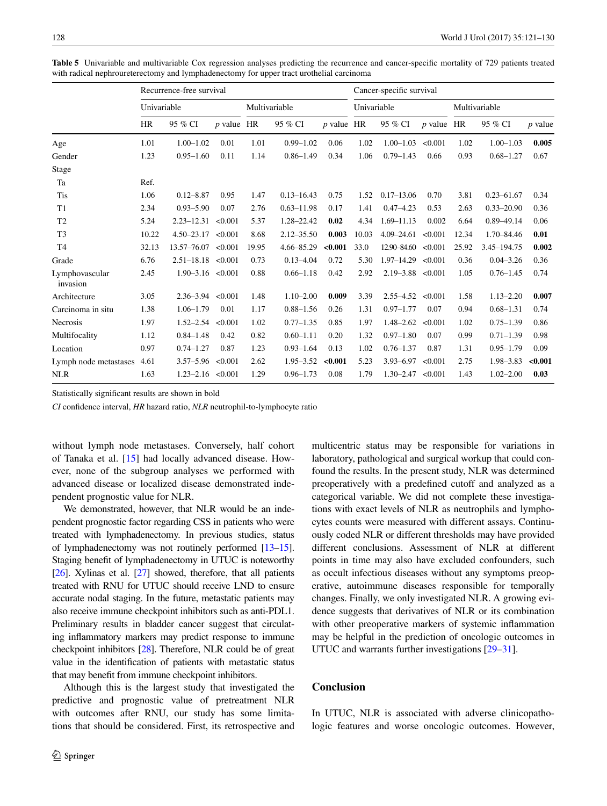|                            | Recurrence-free survival |                        |              |       |                |              |             | Cancer-specific survival |           |       |                |                |  |  |
|----------------------------|--------------------------|------------------------|--------------|-------|----------------|--------------|-------------|--------------------------|-----------|-------|----------------|----------------|--|--|
|                            | Univariable              |                        |              |       | Multivariable  |              | Univariable |                          |           |       | Multivariable  |                |  |  |
|                            | <b>HR</b>                | 95 % CI                | $p$ value HR |       | 95 % CI        | $p$ value HR |             | 95 % CI                  | $p$ value | HR    | 95 % CI        | <i>p</i> value |  |  |
| Age                        | 1.01                     | $1.00 - 1.02$          | 0.01         | 1.01  | $0.99 - 1.02$  | 0.06         | 1.02        | $1.00 - 1.03$            | < 0.001   | 1.02  | $1.00 - 1.03$  | 0.005          |  |  |
| Gender                     | 1.23                     | $0.95 - 1.60$          | 0.11         | 1.14  | $0.86 - 1.49$  | 0.34         | 1.06        | $0.79 - 1.43$            | 0.66      | 0.93  | $0.68 - 1.27$  | 0.67           |  |  |
| Stage                      |                          |                        |              |       |                |              |             |                          |           |       |                |                |  |  |
| Ta                         | Ref.                     |                        |              |       |                |              |             |                          |           |       |                |                |  |  |
| <b>Tis</b>                 | 1.06                     | $0.12 - 8.87$          | 0.95         | 1.47  | $0.13 - 16.43$ | 0.75         | 1.52        | $0.17 - 13.06$           | 0.70      | 3.81  | $0.23 - 61.67$ | 0.34           |  |  |
| T1                         | 2.34                     | $0.93 - 5.90$          | 0.07         | 2.76  | $0.63 - 11.98$ | 0.17         | 1.41        | $0.47 - 4.23$            | 0.53      | 2.63  | $0.33 - 20.90$ | 0.36           |  |  |
| T <sub>2</sub>             | 5.24                     | $2.23 - 12.31$         | < 0.001      | 5.37  | 1.28-22.42     | 0.02         | 4.34        | $1.69 - 11.13$           | 0.002     | 6.64  | $0.89 - 49.14$ | 0.06           |  |  |
| T <sub>3</sub>             | 10.22                    | $4.50 - 23.17$         | < 0.001      | 8.68  | $2.12 - 35.50$ | 0.003        | 10.03       | $4.09 - 24.61$           | < 0.001   | 12.34 | 1.70-84.46     | 0.01           |  |  |
| T <sub>4</sub>             | 32.13                    | 13.57-76.07            | < 0.001      | 19.95 | 4.66-85.29     | < 0.001      | 33.0        | 12.90-84.60              | < 0.001   | 25.92 | 3.45-194.75    | 0.002          |  |  |
| Grade                      | 6.76                     | $2.51 - 18.18 < 0.001$ |              | 0.73  | $0.13 - 4.04$  | 0.72         | 5.30        | $1.97 - 14.29$           | < 0.001   | 0.36  | $0.04 - 3.26$  | 0.36           |  |  |
| Lymphovascular<br>invasion | 2.45                     | $1.90 - 3.16 < 0.001$  |              | 0.88  | $0.66 - 1.18$  | 0.42         | 2.92        | $2.19 - 3.88$            | < 0.001   | 1.05  | $0.76 - 1.45$  | 0.74           |  |  |
| Architecture               | 3.05                     | $2.36 - 3.94$          | < 0.001      | 1.48  | $1.10 - 2.00$  | 0.009        | 3.39        | $2.55 - 4.52$            | < 0.001   | 1.58  | $1.13 - 2.20$  | 0.007          |  |  |
| Carcinoma in situ          | 1.38                     | $1.06 - 1.79$          | 0.01         | 1.17  | $0.88 - 1.56$  | 0.26         | 1.31        | $0.97 - 1.77$            | 0.07      | 0.94  | $0.68 - 1.31$  | 0.74           |  |  |
| <b>Necrosis</b>            | 1.97                     | $1.52 - 2.54$          | < 0.001      | 1.02  | $0.77 - 1.35$  | 0.85         | 1.97        | $1.48 - 2.62$            | < 0.001   | 1.02  | $0.75 - 1.39$  | 0.86           |  |  |
| Multifocality              | 1.12                     | $0.84 - 1.48$          | 0.42         | 0.82  | $0.60 - 1.11$  | 0.20         | 1.32        | $0.97 - 1.80$            | 0.07      | 0.99  | $0.71 - 1.39$  | 0.98           |  |  |
| Location                   | 0.97                     | $0.74 - 1.27$          | 0.87         | 1.23  | $0.93 - 1.64$  | 0.13         | 1.02        | $0.76 - 1.37$            | 0.87      | 1.31  | $0.95 - 1.79$  | 0.09           |  |  |
| Lymph node metastases      | 4.61                     | $3.57 - 5.96$          | < 0.001      | 2.62  | $1.95 - 3.52$  | < 0.001      | 5.23        | $3.93 - 6.97$            | < 0.001   | 2.75  | 1.98-3.83      | < 0.001        |  |  |
| <b>NLR</b>                 | 1.63                     | $1.23 - 2.16 < 0.001$  |              | 1.29  | $0.96 - 1.73$  | 0.08         | 1.79        | $1.30 - 2.47$            | < 0.001   | 1.43  | $1.02 - 2.00$  | 0.03           |  |  |

<span id="page-7-0"></span>**Table 5** Univariable and multivariable Cox regression analyses predicting the recurrence and cancer-specific mortality of 729 patients treated with radical nephroureterectomy and lymphadenectomy for upper tract urothelial carcinoma

Statistically significant results are shown in bold

*CI* confidence interval, *HR* hazard ratio, *NLR* neutrophil-to-lymphocyte ratio

without lymph node metastases. Conversely, half cohort of Tanaka et al. [\[15](#page-8-13)] had locally advanced disease. However, none of the subgroup analyses we performed with advanced disease or localized disease demonstrated independent prognostic value for NLR.

We demonstrated, however, that NLR would be an independent prognostic factor regarding CSS in patients who were treated with lymphadenectomy. In previous studies, status of lymphadenectomy was not routinely performed [[13](#page-8-12)[–15\]](#page-8-13). Staging benefit of lymphadenectomy in UTUC is noteworthy [\[26\]](#page-9-7). Xylinas et al. [\[27](#page-9-8)] showed, therefore, that all patients treated with RNU for UTUC should receive LND to ensure accurate nodal staging. In the future, metastatic patients may also receive immune checkpoint inhibitors such as anti-PDL1. Preliminary results in bladder cancer suggest that circulating inflammatory markers may predict response to immune checkpoint inhibitors [[28](#page-9-9)]. Therefore, NLR could be of great value in the identification of patients with metastatic status that may benefit from immune checkpoint inhibitors.

Although this is the largest study that investigated the predictive and prognostic value of pretreatment NLR with outcomes after RNU, our study has some limitations that should be considered. First, its retrospective and multicentric status may be responsible for variations in laboratory, pathological and surgical workup that could confound the results. In the present study, NLR was determined preoperatively with a predefined cutoff and analyzed as a categorical variable. We did not complete these investigations with exact levels of NLR as neutrophils and lymphocytes counts were measured with different assays. Continuously coded NLR or different thresholds may have provided different conclusions. Assessment of NLR at different points in time may also have excluded confounders, such as occult infectious diseases without any symptoms preoperative, autoimmune diseases responsible for temporally changes. Finally, we only investigated NLR. A growing evidence suggests that derivatives of NLR or its combination with other preoperative markers of systemic inflammation may be helpful in the prediction of oncologic outcomes in UTUC and warrants further investigations [\[29–](#page-9-10)[31\]](#page-9-11).

#### **Conclusion**

In UTUC, NLR is associated with adverse clinicopathologic features and worse oncologic outcomes. However,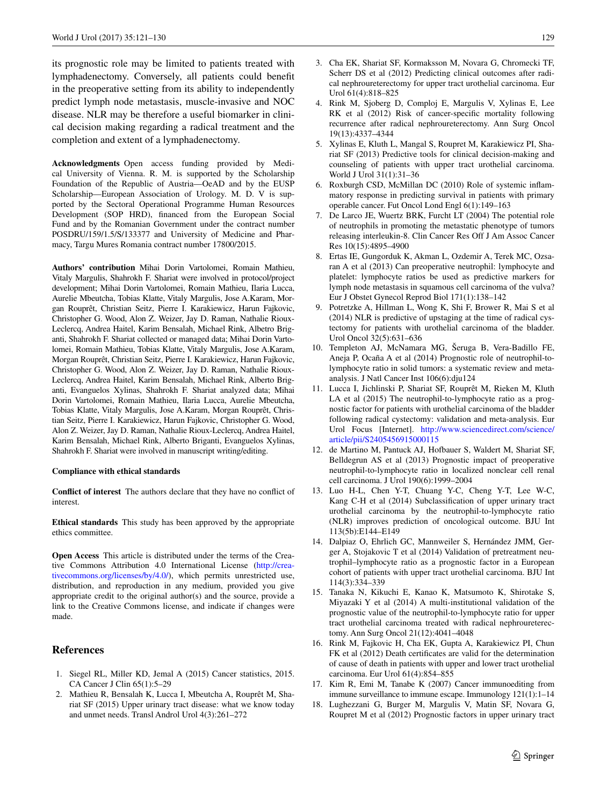its prognostic role may be limited to patients treated with lymphadenectomy. Conversely, all patients could benefit in the preoperative setting from its ability to independently predict lymph node metastasis, muscle-invasive and NOC disease. NLR may be therefore a useful biomarker in clinical decision making regarding a radical treatment and the completion and extent of a lymphadenectomy.

**Acknowledgments** Open access funding provided by Medical University of Vienna. R. M. is supported by the Scholarship Foundation of the Republic of Austria—OeAD and by the EUSP Scholarship—European Association of Urology. M. D. V is supported by the Sectoral Operational Programme Human Resources Development (SOP HRD), financed from the European Social Fund and by the Romanian Government under the contract number POSDRU/159/1.5/S/133377 and University of Medicine and Pharmacy, Targu Mures Romania contract number 17800/2015.

**Authors' contribution** Mihai Dorin Vartolomei, Romain Mathieu, Vitaly Margulis, Shahrokh F. Shariat were involved in protocol/project development; Mihai Dorin Vartolomei, Romain Mathieu, Ilaria Lucca, Aurelie Mbeutcha, Tobias Klatte, Vitaly Margulis, Jose A.Karam, Morgan Rouprêt, Christian Seitz, Pierre I. Karakiewicz, Harun Fajkovic, Christopher G. Wood, Alon Z. Weizer, Jay D. Raman, Nathalie Rioux-Leclercq, Andrea Haitel, Karim Bensalah, Michael Rink, Albetro Briganti, Shahrokh F. Shariat collected or managed data; Mihai Dorin Vartolomei, Romain Mathieu, Tobias Klatte, Vitaly Margulis, Jose A.Karam, Morgan Rouprêt, Christian Seitz, Pierre I. Karakiewicz, Harun Fajkovic, Christopher G. Wood, Alon Z. Weizer, Jay D. Raman, Nathalie Rioux-Leclercq, Andrea Haitel, Karim Bensalah, Michael Rink, Alberto Briganti, Evanguelos Xylinas, Shahrokh F. Shariat analyzed data; Mihai Dorin Vartolomei, Romain Mathieu, Ilaria Lucca, Aurelie Mbeutcha, Tobias Klatte, Vitaly Margulis, Jose A.Karam, Morgan Rouprêt, Christian Seitz, Pierre I. Karakiewicz, Harun Fajkovic, Christopher G. Wood, Alon Z. Weizer, Jay D. Raman, Nathalie Rioux-Leclercq, Andrea Haitel, Karim Bensalah, Michael Rink, Alberto Briganti, Evanguelos Xylinas, Shahrokh F. Shariat were involved in manuscript writing/editing.

#### **Compliance with ethical standards**

**Conflict of interest** The authors declare that they have no conflict of interest.

**Ethical standards** This study has been approved by the appropriate ethics committee.

**Open Access** This article is distributed under the terms of the Creative Commons Attribution 4.0 International License ([http://crea](http://creativecommons.org/licenses/by/4.0/)[tivecommons.org/licenses/by/4.0/](http://creativecommons.org/licenses/by/4.0/)), which permits unrestricted use, distribution, and reproduction in any medium, provided you give appropriate credit to the original author(s) and the source, provide a link to the Creative Commons license, and indicate if changes were made.

# **References**

- <span id="page-8-0"></span>1. Siegel RL, Miller KD, Jemal A (2015) Cancer statistics, 2015. CA Cancer J Clin 65(1):5–29
- <span id="page-8-1"></span>2. Mathieu R, Bensalah K, Lucca I, Mbeutcha A, Rouprêt M, Shariat SF (2015) Upper urinary tract disease: what we know today and unmet needs. Transl Androl Urol 4(3):261–272
- <span id="page-8-2"></span>3. Cha EK, Shariat SF, Kormaksson M, Novara G, Chromecki TF, Scherr DS et al (2012) Predicting clinical outcomes after radical nephroureterectomy for upper tract urothelial carcinoma. Eur Urol 61(4):818–825
- <span id="page-8-3"></span>4. Rink M, Sjoberg D, Comploj E, Margulis V, Xylinas E, Lee RK et al (2012) Risk of cancer-specific mortality following recurrence after radical nephroureterectomy. Ann Surg Oncol 19(13):4337–4344
- <span id="page-8-4"></span>5. Xylinas E, Kluth L, Mangal S, Roupret M, Karakiewicz PI, Shariat SF (2013) Predictive tools for clinical decision-making and counseling of patients with upper tract urothelial carcinoma. World J Urol 31(1):31–36
- <span id="page-8-5"></span>6. Roxburgh CSD, McMillan DC (2010) Role of systemic inflammatory response in predicting survival in patients with primary operable cancer. Fut Oncol Lond Engl 6(1):149–163
- <span id="page-8-6"></span>7. De Larco JE, Wuertz BRK, Furcht LT (2004) The potential role of neutrophils in promoting the metastatic phenotype of tumors releasing interleukin-8. Clin Cancer Res Off J Am Assoc Cancer Res 10(15):4895–4900
- <span id="page-8-7"></span>8. Ertas IE, Gungorduk K, Akman L, Ozdemir A, Terek MC, Ozsaran A et al (2013) Can preoperative neutrophil: lymphocyte and platelet: lymphocyte ratios be used as predictive markers for lymph node metastasis in squamous cell carcinoma of the vulva? Eur J Obstet Gynecol Reprod Biol 171(1):138–142
- <span id="page-8-8"></span>9. Potretzke A, Hillman L, Wong K, Shi F, Brower R, Mai S et al (2014) NLR is predictive of upstaging at the time of radical cystectomy for patients with urothelial carcinoma of the bladder. Urol Oncol 32(5):631–636
- <span id="page-8-9"></span>10. Templeton AJ, McNamara MG, Šeruga B, Vera-Badillo FE, Aneja P, Ocaña A et al (2014) Prognostic role of neutrophil-tolymphocyte ratio in solid tumors: a systematic review and metaanalysis. J Natl Cancer Inst 106(6):dju124
- <span id="page-8-10"></span>11. Lucca I, Jichlinski P, Shariat SF, Rouprêt M, Rieken M, Kluth LA et al (2015) The neutrophil-to-lymphocyte ratio as a prognostic factor for patients with urothelial carcinoma of the bladder following radical cystectomy: validation and meta-analysis. Eur Urol Focus [Internet]. [http://www.sciencedirect.com/science/](http://www.sciencedirect.com/science/article/pii/S2405456915000115) [article/pii/S2405456915000115](http://www.sciencedirect.com/science/article/pii/S2405456915000115)
- <span id="page-8-11"></span>12. de Martino M, Pantuck AJ, Hofbauer S, Waldert M, Shariat SF, Belldegrun AS et al (2013) Prognostic impact of preoperative neutrophil-to-lymphocyte ratio in localized nonclear cell renal cell carcinoma. J Urol 190(6):1999–2004
- <span id="page-8-12"></span>13. Luo H-L, Chen Y-T, Chuang Y-C, Cheng Y-T, Lee W-C, Kang C-H et al (2014) Subclassification of upper urinary tract urothelial carcinoma by the neutrophil-to-lymphocyte ratio (NLR) improves prediction of oncological outcome. BJU Int 113(5b):E144–E149
- <span id="page-8-14"></span>14. Dalpiaz O, Ehrlich GC, Mannweiler S, Hernández JMM, Gerger A, Stojakovic T et al (2014) Validation of pretreatment neutrophil–lymphocyte ratio as a prognostic factor in a European cohort of patients with upper tract urothelial carcinoma. BJU Int 114(3):334–339
- <span id="page-8-13"></span>15. Tanaka N, Kikuchi E, Kanao K, Matsumoto K, Shirotake S, Miyazaki Y et al (2014) A multi-institutional validation of the prognostic value of the neutrophil-to-lymphocyte ratio for upper tract urothelial carcinoma treated with radical nephroureterectomy. Ann Surg Oncol 21(12):4041–4048
- <span id="page-8-15"></span>16. Rink M, Fajkovic H, Cha EK, Gupta A, Karakiewicz PI, Chun FK et al (2012) Death certificates are valid for the determination of cause of death in patients with upper and lower tract urothelial carcinoma. Eur Urol 61(4):854–855
- <span id="page-8-16"></span>17. Kim R, Emi M, Tanabe K (2007) Cancer immunoediting from immune surveillance to immune escape. Immunology 121(1):1–14
- <span id="page-8-17"></span>18. Lughezzani G, Burger M, Margulis V, Matin SF, Novara G, Roupret M et al (2012) Prognostic factors in upper urinary tract